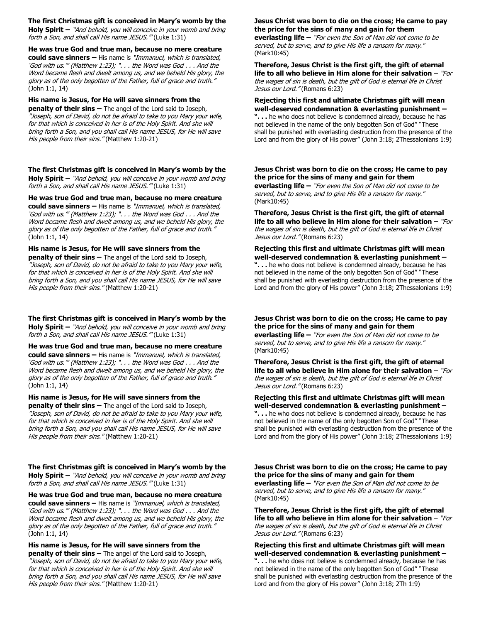**The first Christmas gift is conceived in Mary's womb by the Holy Spirit –** "And behold, you will conceive in your womb and bring forth a Son, and shall call His name JESUS." (Luke 1:31)

**He was true God and true man, because no mere creature could save sinners –** His name is "Immanuel, which is translated, 'God with us.'" (Matthew 1:23); ". . . the Word was God . . . And the Word became flesh and dwelt among us, and we beheld His glory, the glory as of the only begotten of the Father, full of grace and truth." (John 1:1, 14)

**His name is Jesus, for He will save sinners from the penalty of their sins –** The angel of the Lord said to Joseph, "Joseph, son of David, do not be afraid to take to you Mary your wife, for that which is conceived in her is of the Holy Spirit. And she will bring forth a Son, and you shall call His name JESUS, for He will save His people from their sins." (Matthew 1:20-21)

**The first Christmas gift is conceived in Mary's womb by the Holy Spirit –** "And behold, you will conceive in your womb and bring forth a Son, and shall call His name JESUS." (Luke 1:31)

**He was true God and true man, because no mere creature could save sinners –** His name is "Immanuel, which is translated, 'God with us.'" (Matthew 1:23); ". . . the Word was God . . . And the Word became flesh and dwelt among us, and we beheld His glory, the glory as of the only begotten of the Father, full of grace and truth." (John 1:1, 14)

**His name is Jesus, for He will save sinners from the penalty of their sins –** The angel of the Lord said to Joseph, "Joseph, son of David, do not be afraid to take to you Mary your wife, for that which is conceived in her is of the Holy Spirit. And she will bring forth a Son, and you shall call His name JESUS, for He will save His people from their sins." (Matthew 1:20-21)

**The first Christmas gift is conceived in Mary's womb by the Holy Spirit –** "And behold, you will conceive in your womb and bring forth a Son, and shall call His name JESUS." (Luke 1:31)

**He was true God and true man, because no mere creature could save sinners –** His name is "Immanuel, which is translated, 'God with us.'" (Matthew 1:23); ". . . the Word was God . . . And the Word became flesh and dwelt among us, and we beheld His glory, the glory as of the only begotten of the Father, full of grace and truth." (John 1:1, 14)

## **His name is Jesus, for He will save sinners from the**

**penalty of their sins –** The angel of the Lord said to Joseph, "Joseph, son of David, do not be afraid to take to you Mary your wife, for that which is conceived in her is of the Holy Spirit. And she will bring forth a Son, and you shall call His name JESUS, for He will save His people from their sins." (Matthew 1:20-21)

**The first Christmas gift is conceived in Mary's womb by the Holy Spirit –** "And behold, you will conceive in your womb and bring forth a Son, and shall call His name JESUS." (Luke 1:31)

**He was true God and true man, because no mere creature could save sinners –** His name is "Immanuel, which is translated, 'God with us.'" (Matthew 1:23); ". . . the Word was God . . . And the Word became flesh and dwelt among us, and we beheld His glory, the glory as of the only begotten of the Father, full of grace and truth." (John 1:1, 14)

**His name is Jesus, for He will save sinners from the penalty of their sins –** The angel of the Lord said to Joseph, "Joseph, son of David, do not be afraid to take to you Mary your wife, for that which is conceived in her is of the Holy Spirit. And she will bring forth a Son, and you shall call His name JESUS, for He will save His people from their sins." (Matthew 1:20-21)

### **Jesus Christ was born to die on the cross; He came to pay the price for the sins of many and gain for them**

**everlasting life –** "For even the Son of Man did not come to be served, but to serve, and to give His life a ransom for many." (Mark10:45)

#### **Therefore, Jesus Christ is the first gift, the gift of eternal life to all who believe in Him alone for their salvation** – "For the wages of sin is death, but the gift of God is eternal life in Christ Jesus our Lord." (Romans 6:23)

**Rejecting this first and ultimate Christmas gift will mean well-deserved condemnation & everlasting punishment –**

**". . .** he who does not believe is condemned already, because he has not believed in the name of the only begotten Son of God" "These shall be punished with everlasting destruction from the presence of the Lord and from the glory of His power" (John 3:18; 2Thessalonians 1:9)

## **Jesus Christ was born to die on the cross; He came to pay the price for the sins of many and gain for them**

**everlasting life –** "For even the Son of Man did not come to be served, but to serve, and to give His life a ransom for many." (Mark10:45)

**Therefore, Jesus Christ is the first gift, the gift of eternal life to all who believe in Him alone for their salvation** – "For the wages of sin is death, but the gift of God is eternal life in Christ Jesus our Lord." (Romans 6:23)

**Rejecting this first and ultimate Christmas gift will mean well-deserved condemnation & everlasting punishment – ". . .** he who does not believe is condemned already, because he has not believed in the name of the only begotten Son of God" "These shall be punished with everlasting destruction from the presence of the Lord and from the glory of His power" (John 3:18; 2Thessalonians 1:9)

### **Jesus Christ was born to die on the cross; He came to pay the price for the sins of many and gain for them**

**everlasting life –** "For even the Son of Man did not come to be served, but to serve, and to give His life a ransom for many." (Mark10:45)

**Therefore, Jesus Christ is the first gift, the gift of eternal life to all who believe in Him alone for their salvation** – "For the wages of sin is death, but the gift of God is eternal life in Christ Jesus our Lord." (Romans 6:23)

**Rejecting this first and ultimate Christmas gift will mean well-deserved condemnation & everlasting punishment – ". . .** he who does not believe is condemned already, because he has not believed in the name of the only begotten Son of God" "These shall be punished with everlasting destruction from the presence of the Lord and from the glory of His power" (John 3:18; 2Thessalonians 1:9)

**Jesus Christ was born to die on the cross; He came to pay the price for the sins of many and gain for them everlasting life –** "For even the Son of Man did not come to be served, but to serve, and to give His life a ransom for many." (Mark10:45)

**Therefore, Jesus Christ is the first gift, the gift of eternal life to all who believe in Him alone for their salvation** – "For the wages of sin is death, but the gift of God is eternal life in Christ Jesus our Lord." (Romans 6:23)

**Rejecting this first and ultimate Christmas gift will mean well-deserved condemnation & everlasting punishment – ". . .** he who does not believe is condemned already, because he has not believed in the name of the only begotten Son of God" "These shall be punished with everlasting destruction from the presence of the Lord and from the glory of His power" (John 3:18; 2Th 1:9)